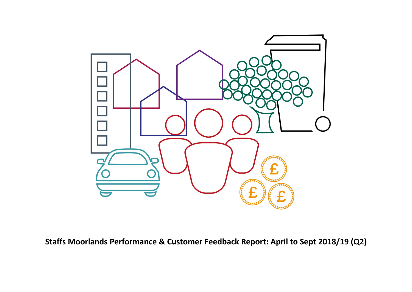

**Staffs Moorlands Performance & Customer Feedback Report: April to Sept 2018/19 (Q2)**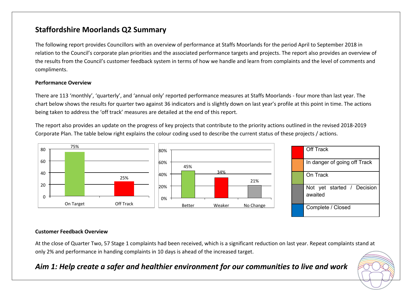## **Staffordshire Moorlands Q2 Summary**

The following report provides Councillors with an overview of performance at Staffs Moorlands for the period April to September 2018 in relation to the Council's corporate plan priorities and the associated performance targets and projects. The report also provides an overview of the results from the Council's customer feedback system in terms of how we handle and learn from complaints and the level of comments and compliments.

#### **Performance Overview**

There are 113 'monthly', 'quarterly', and 'annual only' reported performance measures at Staffs Moorlands - four more than last year. The chart below shows the results for quarter two against 36 indicators and is slightly down on last year's profile at this point in time. The actions being taken to address the 'off track' measures are detailed at the end of this report.

The report also provides an update on the progress of key projects that contribute to the priority actions outlined in the revised 2018-2019 Corporate Plan. The table below right explains the colour coding used to describe the current status of these projects / actions.



#### **Customer Feedback Overview**

At the close of Quarter Two, 57 Stage 1 complaints had been received, which is a significant reduction on last year. Repeat complaints stand at only 2% and performance in handing complaints in 10 days is ahead of the increased target.

### *Aim 1: Help create a safer and healthier environment for our communities to live and work*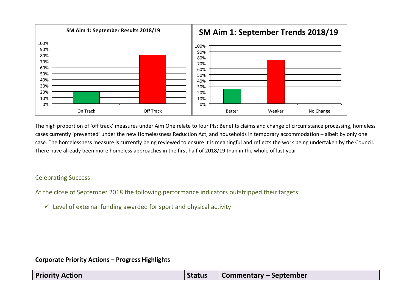

The high proportion of 'off track' measures under Aim One relate to four PIs: Benefits claims and change of circumstance processing, homeless cases currently 'prevented' under the new Homelessness Reduction Act, and households in temporary accommodation – albeit by only one case. The homelessness measure is currently being reviewed to ensure it is meaningful and reflects the work being undertaken by the Council. There have already been more homeless approaches in the first half of 2018/19 than in the whole of last year.

#### Celebrating Success:

At the close of September 2018 the following performance indicators outstripped their targets:

 $\checkmark$  Level of external funding awarded for sport and physical activity

| <b>Priority Action</b> | <b>Status</b> | Commentary – September |
|------------------------|---------------|------------------------|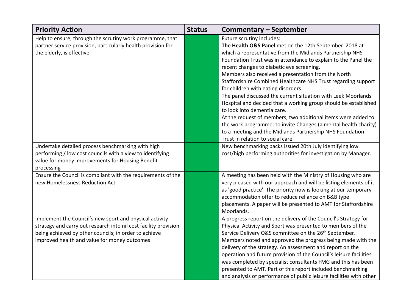| <b>Priority Action</b>                                                                                                                                                                                                               | <b>Status</b> | <b>Commentary - September</b>                                                                                                                                                                                                                                                                                                                                                                                                                                                                                                                                                                                                                                                                                                                                                                                                                                                                    |
|--------------------------------------------------------------------------------------------------------------------------------------------------------------------------------------------------------------------------------------|---------------|--------------------------------------------------------------------------------------------------------------------------------------------------------------------------------------------------------------------------------------------------------------------------------------------------------------------------------------------------------------------------------------------------------------------------------------------------------------------------------------------------------------------------------------------------------------------------------------------------------------------------------------------------------------------------------------------------------------------------------------------------------------------------------------------------------------------------------------------------------------------------------------------------|
| Help to ensure, through the scrutiny work programme, that<br>partner service provision, particularly health provision for<br>the elderly, is effective<br>Undertake detailed process benchmarking with high                          |               | Future scrutiny includes:<br>The Health O&S Panel met on the 12th September 2018 at<br>which a representative from the Midlands Partnership NHS<br>Foundation Trust was in attendance to explain to the Panel the<br>recent changes to diabetic eye screening.<br>Members also received a presentation from the North<br>Staffordshire Combined Healthcare NHS Trust regarding support<br>for children with eating disorders.<br>The panel discussed the current situation with Leek Moorlands<br>Hospital and decided that a working group should be established<br>to look into dementia care.<br>At the request of members, two additional items were added to<br>the work programme: to invite Changes (a mental health charity)<br>to a meeting and the Midlands Partnership NHS Foundation<br>Trust in relation to social care.<br>New benchmarking packs issued 20th July identifying low |
| performing / low cost councils with a view to identifying<br>value for money improvements for Housing Benefit<br>processing                                                                                                          |               | cost/high performing authorities for investigation by Manager.                                                                                                                                                                                                                                                                                                                                                                                                                                                                                                                                                                                                                                                                                                                                                                                                                                   |
| Ensure the Council is compliant with the requirements of the<br>new Homelessness Reduction Act                                                                                                                                       |               | A meeting has been held with the Ministry of Housing who are<br>very pleased with our approach and will be listing elements of it<br>as 'good practice'. The priority now is looking at our temporary<br>accommodation offer to reduce reliance on B&B type<br>placements. A paper will be presented to AMT for Staffordshire<br>Moorlands.                                                                                                                                                                                                                                                                                                                                                                                                                                                                                                                                                      |
| Implement the Council's new sport and physical activity<br>strategy and carry out research into nil cost facility provision<br>being achieved by other councils; in order to achieve<br>improved health and value for money outcomes |               | A progress report on the delivery of the Council's Strategy for<br>Physical Activity and Sport was presented to members of the<br>Service Delivery O&S committee on the 26 <sup>th</sup> September.<br>Members noted and approved the progress being made with the<br>delivery of the strategy. An assessment and report on the<br>operation and future provision of the Council's leisure facilities<br>was completed by specialist consultants FMG and this has been<br>presented to AMT. Part of this report included benchmarking<br>and analysis of performance of public leisure facilities with other                                                                                                                                                                                                                                                                                     |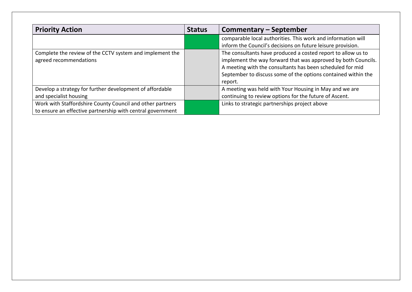| <b>Priority Action</b>                                     | <b>Status</b> | <b>Commentary - September</b>                                 |
|------------------------------------------------------------|---------------|---------------------------------------------------------------|
|                                                            |               | comparable local authorities. This work and information will  |
|                                                            |               | inform the Council's decisions on future leisure provision.   |
| Complete the review of the CCTV system and implement the   |               | The consultants have produced a costed report to allow us to  |
| agreed recommendations                                     |               | implement the way forward that was approved by both Councils. |
|                                                            |               | A meeting with the consultants has been scheduled for mid     |
|                                                            |               | September to discuss some of the options contained within the |
|                                                            |               | report.                                                       |
| Develop a strategy for further development of affordable   |               | A meeting was held with Your Housing in May and we are        |
| and specialist housing                                     |               | continuing to review options for the future of Ascent.        |
| Work with Staffordshire County Council and other partners  |               | Links to strategic partnerships project above                 |
| to ensure an effective partnership with central government |               |                                                               |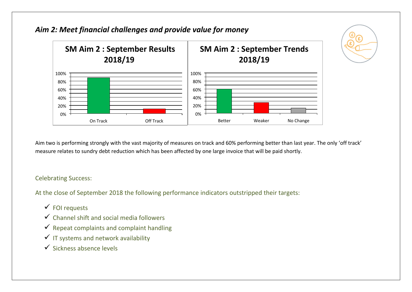

Aim two is performing strongly with the vast majority of measures on track and 60% performing better than last year. The only 'off track' measure relates to sundry debt reduction which has been affected by one large invoice that will be paid shortly.

### Celebrating Success:

At the close of September 2018 the following performance indicators outstripped their targets:

- $\checkmark$  FOI requests
- $\checkmark$  Channel shift and social media followers
- $\checkmark$  Repeat complaints and complaint handling
- $\checkmark$  IT systems and network availability
- $\checkmark$  Sickness absence levels

## *Aim 2: Meet financial challenges and provide value for money*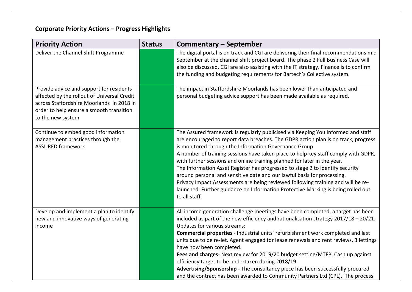| <b>Priority Action</b>                                                                                                                                                                                | <b>Status</b> | <b>Commentary - September</b>                                                                                                                                                                                                                                                                                                                                                                                                                                                                                                                                                                                                                                                                                                                           |
|-------------------------------------------------------------------------------------------------------------------------------------------------------------------------------------------------------|---------------|---------------------------------------------------------------------------------------------------------------------------------------------------------------------------------------------------------------------------------------------------------------------------------------------------------------------------------------------------------------------------------------------------------------------------------------------------------------------------------------------------------------------------------------------------------------------------------------------------------------------------------------------------------------------------------------------------------------------------------------------------------|
| Deliver the Channel Shift Programme                                                                                                                                                                   |               | The digital portal is on track and CGI are delivering their final recommendations mid<br>September at the channel shift project board. The phase 2 Full Business Case will<br>also be discussed. CGI are also assisting with the IT strategy. Finance is to confirm<br>the funding and budgeting requirements for Bartech's Collective system.                                                                                                                                                                                                                                                                                                                                                                                                          |
| Provide advice and support for residents<br>affected by the rollout of Universal Credit<br>across Staffordshire Moorlands in 2018 in<br>order to help ensure a smooth transition<br>to the new system |               | The impact in Staffordshire Moorlands has been lower than anticipated and<br>personal budgeting advice support has been made available as required.                                                                                                                                                                                                                                                                                                                                                                                                                                                                                                                                                                                                     |
| Continue to embed good information<br>management practices through the<br><b>ASSURED framework</b>                                                                                                    |               | The Assured framework is regularly publicised via Keeping You Informed and staff<br>are encouraged to report data breaches. The GDPR action plan is on track, progress<br>is monitored through the Information Governance Group.<br>A number of training sessions have taken place to help key staff comply with GDPR,<br>with further sessions and online training planned for later in the year.<br>The Information Asset Register has progressed to stage 2 to identify security<br>around personal and sensitive date and our lawful basis for processing.<br>Privacy Impact Assessments are being reviewed following training and will be re-<br>launched. Further guidance on Information Protective Marking is being rolled out<br>to all staff. |
| Develop and implement a plan to identify<br>new and innovative ways of generating<br>income                                                                                                           |               | All income generation challenge meetings have been completed, a target has been<br>included as part of the new efficiency and rationalisation strategy $2017/18 - 20/21$ .<br>Updates for various streams:<br>Commercial properties - Industrial units' refurbishment work completed and last<br>units due to be re-let. Agent engaged for lease renewals and rent reviews, 3 lettings<br>have now been completed.<br>Fees and charges- Next review for 2019/20 budget setting/MTFP. Cash up against<br>efficiency target to be undertaken during 2018/19.<br>Advertising/Sponsorship - The consultancy piece has been successfully procured<br>and the contract has been awarded to Community Partners Ltd (CPL). The process                          |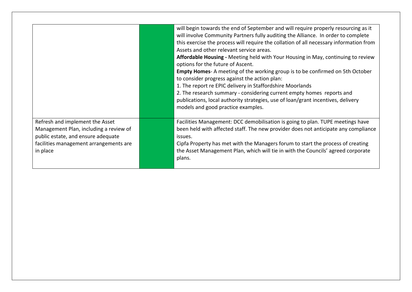|                                                                                                                                                                       | will begin towards the end of September and will require properly resourcing as it<br>will involve Community Partners fully auditing the Alliance. In order to complete<br>this exercise the process will require the collation of all necessary information from<br>Assets and other relevant service areas.<br><b>Affordable Housing -</b> Meeting held with Your Housing in May, continuing to review<br>options for the future of Ascent.<br><b>Empty Homes-</b> A meeting of the working group is to be confirmed on 5th October<br>to consider progress against the action plan:<br>1. The report re EPIC delivery in Staffordshire Moorlands<br>2. The research summary - considering current empty homes reports and<br>publications, local authority strategies, use of loan/grant incentives, delivery<br>models and good practice examples. |
|-----------------------------------------------------------------------------------------------------------------------------------------------------------------------|--------------------------------------------------------------------------------------------------------------------------------------------------------------------------------------------------------------------------------------------------------------------------------------------------------------------------------------------------------------------------------------------------------------------------------------------------------------------------------------------------------------------------------------------------------------------------------------------------------------------------------------------------------------------------------------------------------------------------------------------------------------------------------------------------------------------------------------------------------|
| Refresh and implement the Asset<br>Management Plan, including a review of<br>public estate, and ensure adequate<br>facilities management arrangements are<br>in place | Facilities Management: DCC demobilisation is going to plan. TUPE meetings have<br>been held with affected staff. The new provider does not anticipate any compliance<br>issues.<br>Cipfa Property has met with the Managers forum to start the process of creating<br>the Asset Management Plan, which will tie in with the Councils' agreed corporate<br>plans.                                                                                                                                                                                                                                                                                                                                                                                                                                                                                       |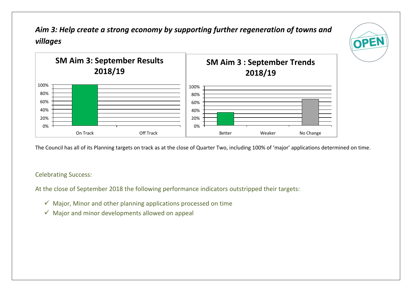*Aim 3: Help create a strong economy by supporting further regeneration of towns and villages* 

OPEN



The Council has all of its Planning targets on track as at the close of Quarter Two, including 100% of 'major' applications determined on time.

### Celebrating Success:

At the close of September 2018 the following performance indicators outstripped their targets:

- $\checkmark$  Major, Minor and other planning applications processed on time
- $\checkmark$  Major and minor developments allowed on appeal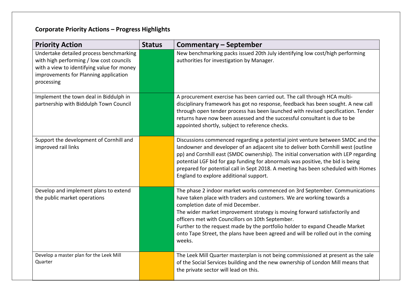| <b>Priority Action</b>                                                                                                                                                                   | <b>Status</b> | <b>Commentary - September</b>                                                                                                                                                                                                                                                                                                                                                                                                                                                                            |
|------------------------------------------------------------------------------------------------------------------------------------------------------------------------------------------|---------------|----------------------------------------------------------------------------------------------------------------------------------------------------------------------------------------------------------------------------------------------------------------------------------------------------------------------------------------------------------------------------------------------------------------------------------------------------------------------------------------------------------|
| Undertake detailed process benchmarking<br>with high performing / low cost councils<br>with a view to identifying value for money<br>improvements for Planning application<br>processing |               | New benchmarking packs issued 20th July identifying low cost/high performing<br>authorities for investigation by Manager.                                                                                                                                                                                                                                                                                                                                                                                |
| Implement the town deal in Biddulph in<br>partnership with Biddulph Town Council                                                                                                         |               | A procurement exercise has been carried out. The call through HCA multi-<br>disciplinary framework has got no response, feedback has been sought. A new call<br>through open tender process has been launched with revised specification. Tender<br>returns have now been assessed and the successful consultant is due to be<br>appointed shortly, subject to reference checks.                                                                                                                         |
| Support the development of Cornhill and<br>improved rail links                                                                                                                           |               | Discussions commenced regarding a potential joint venture between SMDC and the<br>landowner and developer of an adjacent site to deliver both Cornhill west (outline<br>pp) and Cornhill east (SMDC ownership). The initial conversation with LEP regarding<br>potential LGF bid for gap funding for abnormals was positive, the bid is being<br>prepared for potential call in Sept 2018. A meeting has been scheduled with Homes<br>England to explore additional support.                             |
| Develop and implement plans to extend<br>the public market operations                                                                                                                    |               | The phase 2 indoor market works commenced on 3rd September. Communications<br>have taken place with traders and customers. We are working towards a<br>completion date of mid December.<br>The wider market improvement strategy is moving forward satisfactorily and<br>officers met with Councillors on 10th September.<br>Further to the request made by the portfolio holder to expand Cheadle Market<br>onto Tape Street, the plans have been agreed and will be rolled out in the coming<br>weeks. |
| Develop a master plan for the Leek Mill<br>Quarter                                                                                                                                       |               | The Leek Mill Quarter masterplan is not being commissioned at present as the sale<br>of the Social Services building and the new ownership of London Mill means that<br>the private sector will lead on this.                                                                                                                                                                                                                                                                                            |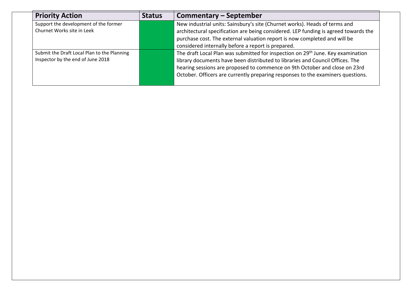| <b>Priority Action</b>                      | <b>Status</b> | <b>Commentary - September</b>                                                               |
|---------------------------------------------|---------------|---------------------------------------------------------------------------------------------|
| Support the development of the former       |               | New industrial units: Sainsbury's site (Churnet works). Heads of terms and                  |
| Churnet Works site in Leek                  |               | architectural specification are being considered. LEP funding is agreed towards the         |
|                                             |               | purchase cost. The external valuation report is now completed and will be                   |
|                                             |               | considered internally before a report is prepared.                                          |
| Submit the Draft Local Plan to the Planning |               | The draft Local Plan was submitted for inspection on 29 <sup>th</sup> June. Key examination |
| Inspector by the end of June 2018           |               | library documents have been distributed to libraries and Council Offices. The               |
|                                             |               | hearing sessions are proposed to commence on 9th October and close on 23rd                  |
|                                             |               | October. Officers are currently preparing responses to the examiners questions.             |
|                                             |               |                                                                                             |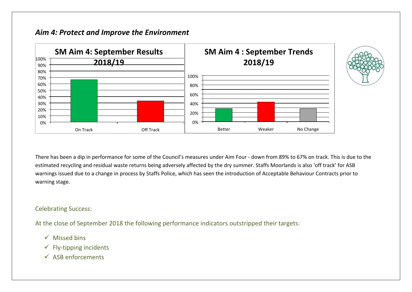### *Aim 4: Protect and Improve the Environment*



There has been a dip in performance for some of the Council's measures under Aim Four - down from 89% to 67% on track. This is due to the estimated recycling and residual waste returns being adversely affected by the dry summer. Staffs Moorlands is also 'off track' for ASB warnings issued due to a change in process by Staffs Police, which has seen the introduction of Acceptable Behaviour Contracts prior to warning stage.

#### Celebrating Success:

At the close of September 2018 the following performance indicators outstripped their targets:

- $\checkmark$  Missed bins
- $\checkmark$  Fly-tipping incidents
- $\checkmark$  ASB enforcements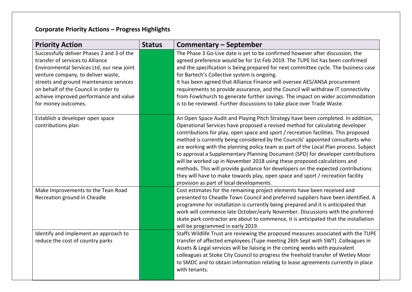| <b>Priority Action</b>                                                                                                                                                                                                                                                                                                | <b>Status</b> | <b>Commentary - September</b>                                                                                                                                                                                                                                                                                                                                                                                                                                                                                                                                                                                                                                                                                                                                                                                         |
|-----------------------------------------------------------------------------------------------------------------------------------------------------------------------------------------------------------------------------------------------------------------------------------------------------------------------|---------------|-----------------------------------------------------------------------------------------------------------------------------------------------------------------------------------------------------------------------------------------------------------------------------------------------------------------------------------------------------------------------------------------------------------------------------------------------------------------------------------------------------------------------------------------------------------------------------------------------------------------------------------------------------------------------------------------------------------------------------------------------------------------------------------------------------------------------|
| Successfully deliver Phases 2 and 3 of the<br>transfer of services to Alliance<br>Environmental Services Ltd, our new joint<br>venture company, to deliver waste,<br>streets and ground maintenance services<br>on behalf of the Council in order to<br>achieve improved performance and value<br>for money outcomes. |               | The Phase 3 Go-Live date is yet to be confirmed however after discussion, the<br>agreed preference would be for 1st Feb 2019. The TUPE list has been confirmed<br>and the specification is being prepared for next committee cycle. The business case<br>for Bartech's Collective system is ongoing.<br>It has been agreed that Alliance Finance will oversee AES/ANSA procurement<br>requirements to provide assurance, and the Council will withdraw IT connectivity<br>from Fowlchurch to generate further savings. The impact on wider accommodation<br>is to be reviewed. Further discussions to take place over Trade Waste.                                                                                                                                                                                    |
| Establish a developer open space<br>contributions plan                                                                                                                                                                                                                                                                |               | An Open Space Audit and Playing Pitch Strategy have been completed. In addition,<br>Operational Services have proposed a revised method for calculating developer<br>contributions for play, open space and sport / recreation facilities. This proposed<br>method is currently being considered by the Councils' appointed consultants who<br>are working with the planning policy team as part of the Local Plan process. Subject<br>to approval a Supplementary Planning Document (SPD) for developer contributions<br>will be worked up in November 2018 using these proposed calculations and<br>methods. This will provide guidance for developers on the expected contributions<br>they will have to make towards play, open space and sport / recreation facility<br>provision as part of local developments. |
| Make Improvements to the Tean Road<br>Recreation ground in Cheadle                                                                                                                                                                                                                                                    |               | Cost estimates for the remaining project elements have been received and<br>presented to Cheadle Town Council and preferred suppliers have been identified. A<br>programme for installation is currently being prepared and it is anticipated that<br>work will commence late October/early November. Discussions with the preferred<br>skate park contractor are about to commence, it is anticipated that the installation<br>will be programmed in early 2019.                                                                                                                                                                                                                                                                                                                                                     |
| Identify and implement an approach to<br>reduce the cost of country parks                                                                                                                                                                                                                                             |               | Staffs Wildlife Trust are reviewing the proposed measures associated with the TUPE<br>transfer of affected employees (Tupe meeting 26th Sept with SWT) .Colleagues in<br>Assets & Legal services will be liaising in the coming weeks with equivalent<br>colleagues at Stoke City Council to progress the freehold transfer of Wetley Moor<br>to SMDC and to obtain information relating to lease agreements currently in place<br>with tenants.                                                                                                                                                                                                                                                                                                                                                                      |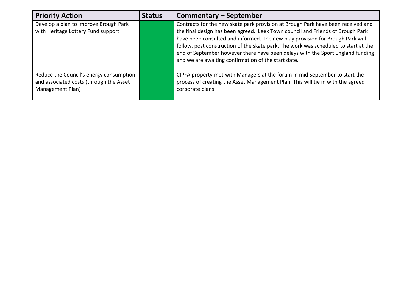| <b>Priority Action</b>                                                                                 | <b>Status</b> | Commentary – September                                                                                                                                                                                                                                                                                                                                                                                                                                                              |
|--------------------------------------------------------------------------------------------------------|---------------|-------------------------------------------------------------------------------------------------------------------------------------------------------------------------------------------------------------------------------------------------------------------------------------------------------------------------------------------------------------------------------------------------------------------------------------------------------------------------------------|
| Develop a plan to improve Brough Park<br>with Heritage Lottery Fund support                            |               | Contracts for the new skate park provision at Brough Park have been received and<br>the final design has been agreed. Leek Town council and Friends of Brough Park<br>have been consulted and informed. The new play provision for Brough Park will<br>follow, post construction of the skate park. The work was scheduled to start at the<br>end of September however there have been delays with the Sport England funding<br>and we are awaiting confirmation of the start date. |
| Reduce the Council's energy consumption<br>and associated costs (through the Asset<br>Management Plan) |               | CIPFA property met with Managers at the forum in mid September to start the<br>process of creating the Asset Management Plan. This will tie in with the agreed<br>corporate plans.                                                                                                                                                                                                                                                                                                  |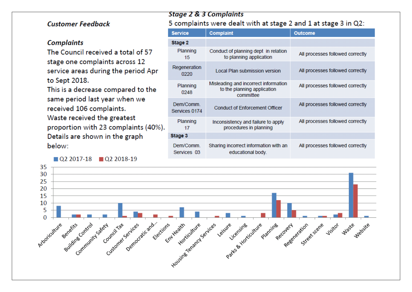### **Customer Feedback**

#### **Complaints**

The Council received a total of 57 stage one complaints across 12 service areas during the period Apr to Sept 2018.

This is a decrease compared to the same period last year when we received 106 complaints. Waste received the greatest proportion with 23 complaints (40%). Details are shown in the graph below:

02 2017-18 02 2018-19

#### **Stage 2 & 3 Complaints**

### 5 complaints were dealt with at stage 2 and 1 at stage 3 in Q2:

| <b>Service</b>            | <b>Complaint</b>                                                                 | <b>Outcome</b>                   |  |  |
|---------------------------|----------------------------------------------------------------------------------|----------------------------------|--|--|
| Stage 2                   |                                                                                  |                                  |  |  |
| Planning<br>15            | Conduct of planning dept in relation<br>to planning application                  | All processes followed correctly |  |  |
| Regeneration<br>0220      | Local Plan submission version                                                    | All processes followed correctly |  |  |
| Planning<br>0248          | Misleading and incorrect information<br>to the planning application<br>committee | All processes followed correctly |  |  |
| Dem/Comm<br>Services 0174 | <b>Conduct of Enforcement Officer</b>                                            | All processes followed correctly |  |  |
| Planning<br>17            | Inconsistency and failure to apply<br>procedures in planning                     | All processes followed correctly |  |  |
| Stage 3                   |                                                                                  |                                  |  |  |
| Dem/Comm.<br>Services 03  | Sharing incorrect information with an<br>educational body.                       | All processes followed correctly |  |  |

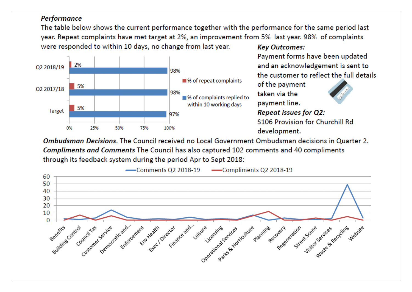### Performance

The table below shows the current performance together with the performance for the same period last year. Repeat complaints have met target at 2%, an improvement from 5% last year. 98% of complaints were responded to within 10 days, no change from last year. **Key Outcomes:** 



Payment forms have been updated and an acknowledgement is sent to the customer to reflect the full details

of the payment taken via the payment line.

**Repeat issues for Q2:** S106 Provision for Churchill Rd development.

**Ombudsman Decisions.** The Council received no Local Government Ombudsman decisions in Quarter 2. **Compliments and Comments The Council has also captured 102 comments and 40 compliments** through its feedback system during the period Apr to Sept 2018:

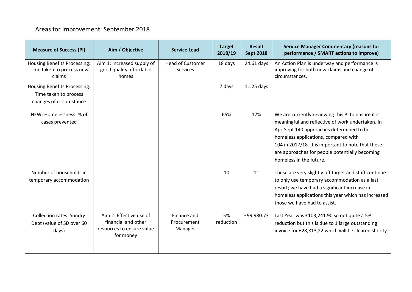# Areas for Improvement: September 2018

| <b>Measure of Success (PI)</b>                                                          | Aim / Objective                                                                          | <b>Service Lead</b>                   | <b>Target</b><br>2018/19 | <b>Result</b><br><b>Sept 2018</b> | <b>Service Manager Commentary (reasons for</b><br>performance / SMART actions to improve)                                                                                                                                                                                                                                     |
|-----------------------------------------------------------------------------------------|------------------------------------------------------------------------------------------|---------------------------------------|--------------------------|-----------------------------------|-------------------------------------------------------------------------------------------------------------------------------------------------------------------------------------------------------------------------------------------------------------------------------------------------------------------------------|
| <b>Housing Benefits Processing:</b><br>Time taken to process new<br>claims              | Aim 1: Increased supply of<br>good quality affordable<br>homes                           | <b>Head of Customer</b><br>Services   | 18 days                  | 24.61 days                        | An Action Plan is underway and performance is<br>improving for both new claims and change of<br>circumstances.                                                                                                                                                                                                                |
| <b>Housing Benefits Processing:</b><br>Time taken to process<br>changes of circumstance |                                                                                          |                                       | 7 days                   | 11.25 days                        |                                                                                                                                                                                                                                                                                                                               |
| NEW: Homelessness: % of<br>cases prevented                                              |                                                                                          |                                       | 65%                      | 17%                               | We are currently reviewing this PI to ensure it is<br>meaningful and reflective of work undertaken. In<br>Apr-Sept 140 approaches determined to be<br>homeless applications, compared with<br>104 in 2017/18. It is important to note that these<br>are approaches for people potentially becoming<br>homeless in the future. |
| Number of households in<br>temporary accommodation                                      |                                                                                          |                                       | 10                       | 11                                | These are very slightly off target and staff continue<br>to only use temporary accommodation as a last<br>resort; we have had a significant increase in<br>homeless applications this year which has increased<br>those we have had to assist.                                                                                |
| <b>Collection rates: Sundry</b><br>Debt (value of SD over 60<br>days)                   | Aim 2: Effective use of<br>financial and other<br>resources to ensure value<br>for money | Finance and<br>Procurement<br>Manager | 5%<br>reduction          | £99,980.73                        | Last Year was £103,241.90 so not quite a 5%<br>reduction but this is due to 1 large outstanding<br>invoice for £28,813,22 which will be cleared shortly                                                                                                                                                                       |